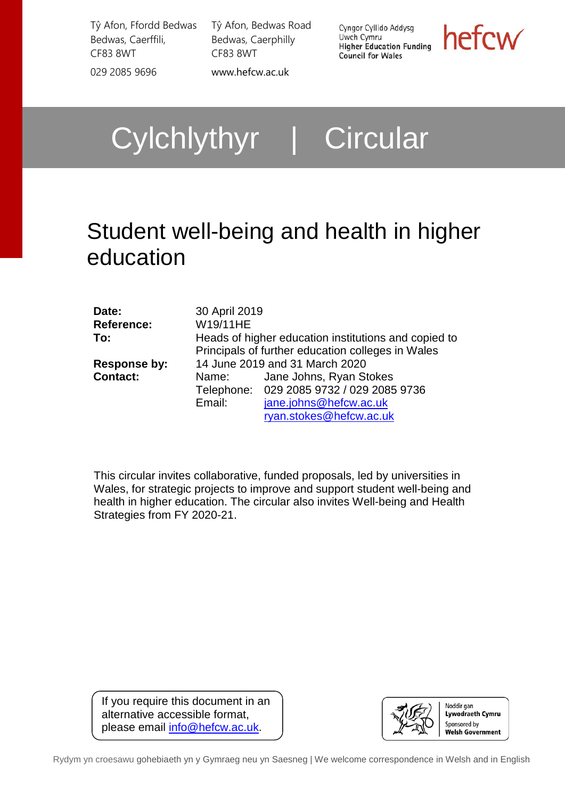Tŷ Afon, Ffordd Bedwas Bedwas, Caerffili, CF83 8WT 029 2085 9696 [www.hefcw.ac.uk](http://www.hefcw.ac.uk/)

Tŷ Afon, Bedwas Road Bedwas, Caerphilly CF83 8WT

Cyngor Cyllido Addysg Uwch Cymru Higher Education Funding **Council for Wales** 

hefcw

Cylchlythyr | Circular

# Student well-being and health in higher education

| Date:             | 30 April 2019                                        |                                                   |  |
|-------------------|------------------------------------------------------|---------------------------------------------------|--|
| <b>Reference:</b> | W19/11HE                                             |                                                   |  |
| To:               | Heads of higher education institutions and copied to |                                                   |  |
|                   |                                                      | Principals of further education colleges in Wales |  |
| Response by:      | 14 June 2019 and 31 March 2020                       |                                                   |  |
| <b>Contact:</b>   | Name:                                                | Jane Johns, Ryan Stokes                           |  |
|                   |                                                      | Telephone: 029 2085 9732 / 029 2085 9736          |  |
|                   | Email:                                               | jane.johns@hefcw.ac.uk                            |  |
|                   |                                                      | ryan.stokes@hefcw.ac.uk                           |  |

This circular invites collaborative, funded proposals, led by universities in Wales, for strategic projects to improve and support student well-being and health in higher education. The circular also invites Well-being and Health Strategies from FY 2020-21.

If you require this document in an alternative accessible format, please email [info@hefcw.ac.uk.](mailto:info@hefcw.ac.uk)



Rydym yn croesawu gohebiaeth yn y Gymraeg neu yn Saesneg | We welcome correspondence in Welsh and in English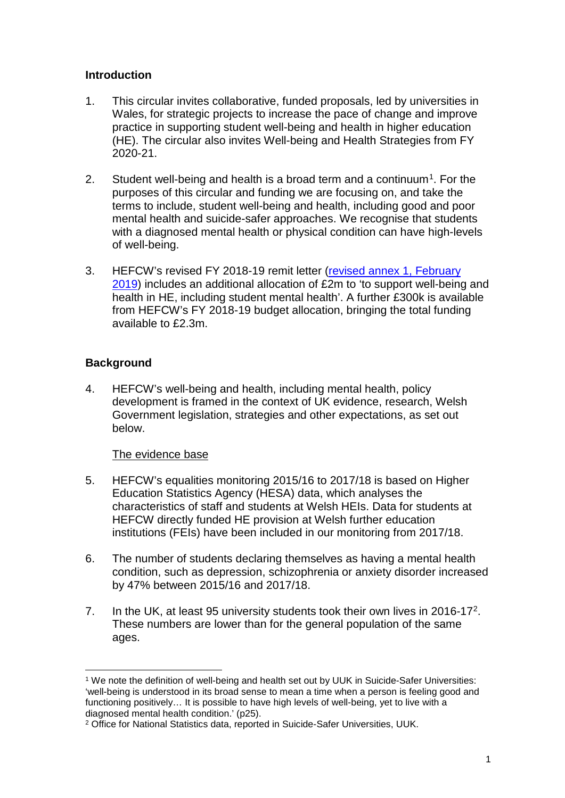#### **Introduction**

- 1. This circular invites collaborative, funded proposals, led by universities in Wales, for strategic projects to increase the pace of change and improve practice in supporting student well-being and health in higher education (HE). The circular also invites Well-being and Health Strategies from FY 2020-21.
- 2. Student well-being and health is a broad term and a continuum<sup>1</sup>. For the purposes of this circular and funding we are focusing on, and take the terms to include, student well-being and health, including good and poor mental health and suicide-safer approaches. We recognise that students with a diagnosed mental health or physical condition can have high-levels of well-being.
- 3. HEFCW's revised FY 2018-19 remit letter [\(revised annex 1, February](https://www.hefcw.ac.uk/documents/about_he_in_wales/WG_priorities_and_policies/2018-19%20Remit%20Letter%20Revised%20Annex%20March%202019.pdf)  [2019\)](https://www.hefcw.ac.uk/documents/about_he_in_wales/WG_priorities_and_policies/2018-19%20Remit%20Letter%20Revised%20Annex%20March%202019.pdf) includes an additional allocation of £2m to 'to support well-being and health in HE, including student mental health'. A further £300k is available from HEFCW's FY 2018-19 budget allocation, bringing the total funding available to £2.3m.

# **Background**

4. HEFCW's well-being and health, including mental health, policy development is framed in the context of UK evidence, research, Welsh Government legislation, strategies and other expectations, as set out below.

# The evidence base

- 5. HEFCW's equalities monitoring 2015/16 to 2017/18 is based on Higher Education Statistics Agency (HESA) data, which analyses the characteristics of staff and students at Welsh HEIs. Data for students at HEFCW directly funded HE provision at Welsh further education institutions (FEIs) have been included in our monitoring from 2017/18.
- 6. The number of students declaring themselves as having a mental health condition, such as depression, schizophrenia or anxiety disorder increased by 47% between 2015/16 and 2017/18.
- 7. In the UK, at least 95 university students took their own lives in [2](#page-1-1)016-17<sup>2</sup>. These numbers are lower than for the general population of the same ages.

<span id="page-1-0"></span> <sup>1</sup> We note the definition of well-being and health set out by UUK in Suicide-Safer Universities: 'well-being is understood in its broad sense to mean a time when a person is feeling good and functioning positively… It is possible to have high levels of well-being, yet to live with a diagnosed mental health condition.' (p25).

<span id="page-1-1"></span><sup>2</sup> Office for National Statistics data, reported in Suicide-Safer Universities, UUK.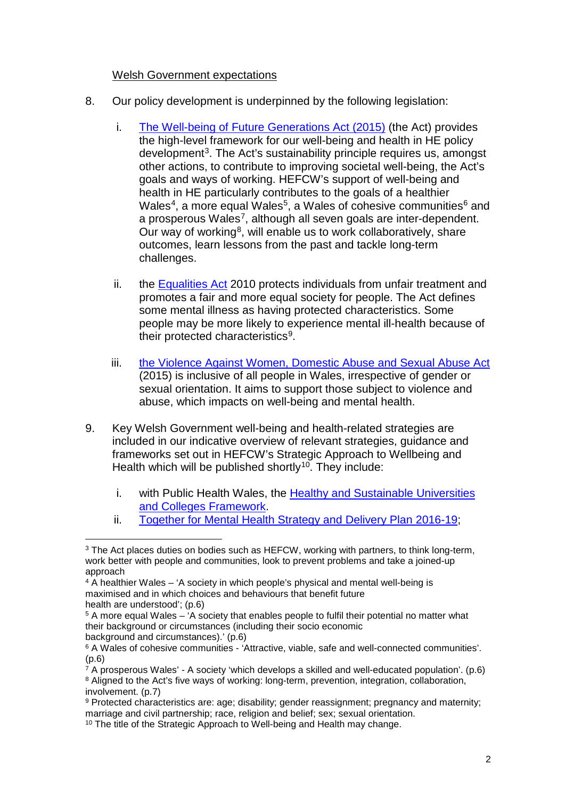#### Welsh Government expectations

- 8. Our policy development is underpinned by the following legislation:
	- i. [The Well-being of Future Generations Act \(2015\)](https://futuregenerations.wales/wp-content/uploads/2017/02/150623-guide-to-the-fg-act-en.pdf) (the Act) provides the high-level framework for our well-being and health in HE policy development<sup>[3](#page-2-0)</sup>. The Act's sustainability principle requires us, amongst other actions, to contribute to improving societal well-being, the Act's goals and ways of working. HEFCW's support of well-being and health in HE particularly contributes to the goals of a healthier Wales<sup>4</sup>, a more equal Wales<sup>[5](#page-2-2)</sup>, a Wales of cohesive communities<sup>[6](#page-2-3)</sup> and a prosperous Wales<sup>[7](#page-2-4)</sup>, although all seven goals are inter-dependent. Our way of working<sup>[8](#page-2-5)</sup>, will enable us to work collaboratively, share outcomes, learn lessons from the past and tackle long-term challenges.
	- ii. the [Equalities Act](https://www.legislation.gov.uk/ukpga/2010/15/contents) 2010 protects individuals from unfair treatment and promotes a fair and more equal society for people. The Act defines some mental illness as having protected characteristics. Some people may be more likely to experience mental ill-health because of their protected characteristics[9](#page-2-6).
	- iii. [the Violence Against Women, Domestic Abuse and Sexual Abuse Act](https://www.legislation.gov.uk/anaw/2015/3/contents) (2015) is inclusive of all people in Wales, irrespective of gender or sexual orientation. It aims to support those subject to violence and abuse, which impacts on well-being and mental health.
- 9. Key Welsh Government well-being and health-related strategies are included in our indicative overview of relevant strategies, guidance and frameworks set out in HEFCW's Strategic Approach to Wellbeing and Health which will be published shortly<sup>10</sup>. They include:
	- i. with Public Health Wales, the Healthy and Sustainable Universities [and Colleges Framework.](http://www.wales.nhs.uk/sitesplus/888/news/47418)
	- ii. Together [for Mental Health Strategy and Delivery Plan 2016-19;](https://www.basw.co.uk/system/files/resources/basw_60019-4_0.pdf)

<span id="page-2-2"></span><sup>5</sup> A more equal Wales – 'A society that enables people to fulfil their potential no matter what their background or circumstances (including their socio economic background and circumstances).' (p.6)

<span id="page-2-0"></span><sup>&</sup>lt;sup>3</sup> The Act places duties on bodies such as HEFCW, working with partners, to think long-term, work better with people and communities, look to prevent problems and take a joined-up approach

<span id="page-2-1"></span><sup>4</sup> A healthier Wales – 'A society in which people's physical and mental well-being is maximised and in which choices and behaviours that benefit future health are understood'; (p.6)

<span id="page-2-3"></span><sup>6</sup> A Wales of cohesive communities - 'Attractive, viable, safe and well-connected communities'. (p.6)

<span id="page-2-5"></span><span id="page-2-4"></span> $\overline{7}$  A prosperous Wales' - A society 'which develops a skilled and well-educated population'. (p.6) <sup>8</sup> Aligned to the Act's five ways of working: long-term, prevention, integration, collaboration, involvement. (p.7)

<span id="page-2-6"></span><sup>9</sup> Protected characteristics are: age: disability: gender reassignment: pregnancy and maternity: marriage and civil partnership; race, religion and belief; sex; sexual orientation.

<span id="page-2-7"></span><sup>&</sup>lt;sup>10</sup> The title of the Strategic Approach to Well-being and Health may change.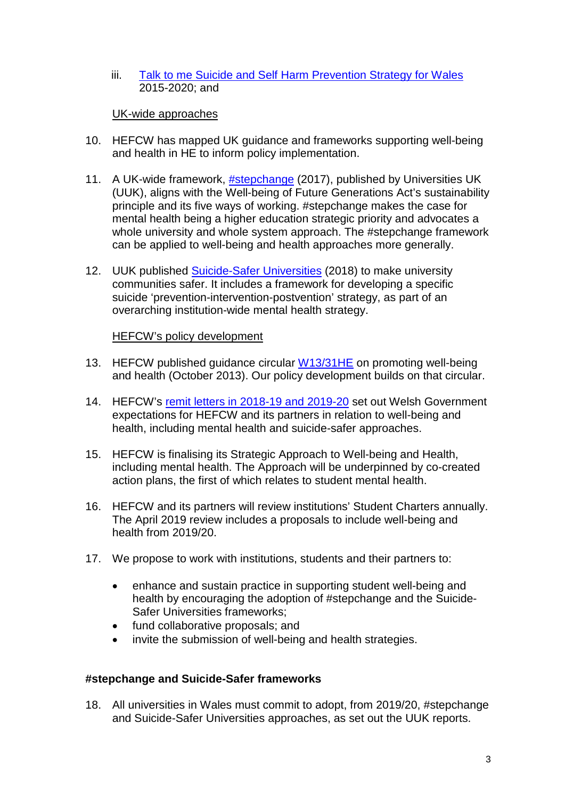iii. [Talk to me Suicide and Self Harm Prevention](https://socialcare.wales/research-and-data/research-on-care-finder/talk-to-me-2-suicide-and-self-harm-prevention-strategy-for-wales-2015-2020) Strategy for Wales 2015-2020; and

#### UK-wide approaches

- 10. HEFCW has mapped UK guidance and frameworks supporting well-being and health in HE to inform policy implementation.
- 11. A UK-wide framework, **[#stepchange](https://www.universitiesuk.ac.uk/stepchange)** (2017), published by Universities UK (UUK), aligns with the Well-being of Future Generations Act's sustainability principle and its five ways of working. #stepchange makes the case for mental health being a higher education strategic priority and advocates a whole university and whole system approach. The #stepchange framework can be applied to well-being and health approaches more generally.
- 12. UUK published [Suicide-Safer Universities](https://papyrus-uk.org/suicide-safer-universities/) (2018) to make university communities safer. It includes a framework for developing a specific suicide 'prevention-intervention-postvention' strategy, as part of an overarching institution-wide mental health strategy.

#### HEFCW's policy development

- 13. HEFCW published guidance circular [W13/31HE](https://www.hefcw.ac.uk/documents/publications/circulars/circulars_2013/W13%2031HE%20Equality%20and%20Diversity%20in%20Higher%20Education%20Promoting%20Mental%20Health%20and%20Wellbeing.pdf) on promoting well-being and health (October 2013). Our policy development builds on that circular.
- 14. HEFCW's [remit letters in 2018-19 and 2019-20](https://www.hefcw.ac.uk/about_he_in_wales/welsh_govt_priorities_and_policies/annual_remit_letter_hefcw.aspx) set out Welsh Government expectations for HEFCW and its partners in relation to well-being and health, including mental health and suicide-safer approaches.
- 15. HEFCW is finalising its Strategic Approach to Well-being and Health, including mental health. The Approach will be underpinned by co-created action plans, the first of which relates to student mental health.
- 16. HEFCW and its partners will review institutions' Student Charters annually. The April 2019 review includes a proposals to include well-being and health from 2019/20.
- 17. We propose to work with institutions, students and their partners to:
	- enhance and sustain practice in supporting student well-being and health by encouraging the adoption of #stepchange and the Suicide-Safer Universities frameworks;
	- fund collaborative proposals; and
	- invite the submission of well-being and health strategies.

#### **#stepchange and Suicide-Safer frameworks**

18. All universities in Wales must commit to adopt, from 2019/20, #stepchange and Suicide-Safer Universities approaches, as set out the UUK reports.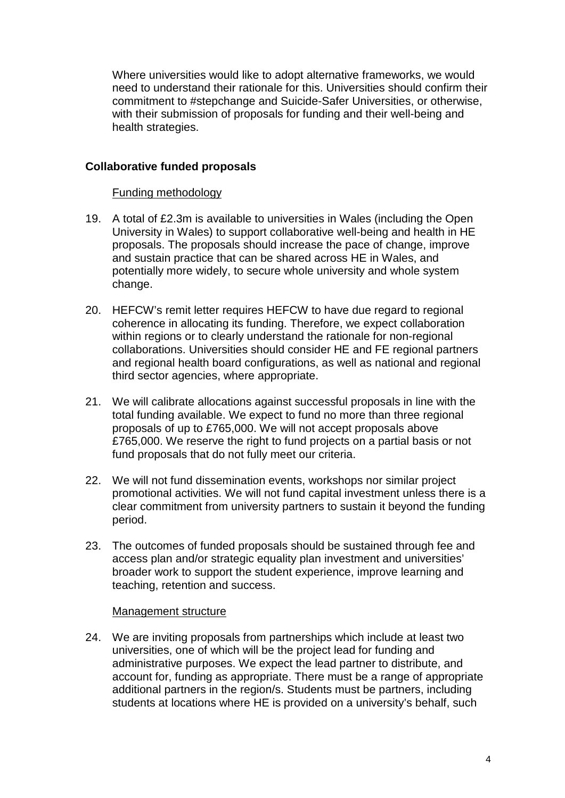Where universities would like to adopt alternative frameworks, we would need to understand their rationale for this. Universities should confirm their commitment to #stepchange and Suicide-Safer Universities, or otherwise, with their submission of proposals for funding and their well-being and health strategies.

## **Collaborative funded proposals**

#### Funding methodology

- 19. A total of £2.3m is available to universities in Wales (including the Open University in Wales) to support collaborative well-being and health in HE proposals. The proposals should increase the pace of change, improve and sustain practice that can be shared across HE in Wales, and potentially more widely, to secure whole university and whole system change.
- 20. HEFCW's remit letter requires HEFCW to have due regard to regional coherence in allocating its funding. Therefore, we expect collaboration within regions or to clearly understand the rationale for non-regional collaborations. Universities should consider HE and FE regional partners and regional health board configurations, as well as national and regional third sector agencies, where appropriate.
- 21. We will calibrate allocations against successful proposals in line with the total funding available. We expect to fund no more than three regional proposals of up to £765,000. We will not accept proposals above £765,000. We reserve the right to fund projects on a partial basis or not fund proposals that do not fully meet our criteria.
- 22. We will not fund dissemination events, workshops nor similar project promotional activities. We will not fund capital investment unless there is a clear commitment from university partners to sustain it beyond the funding period.
- 23. The outcomes of funded proposals should be sustained through fee and access plan and/or strategic equality plan investment and universities' broader work to support the student experience, improve learning and teaching, retention and success.

#### Management structure

24. We are inviting proposals from partnerships which include at least two universities, one of which will be the project lead for funding and administrative purposes. We expect the lead partner to distribute, and account for, funding as appropriate. There must be a range of appropriate additional partners in the region/s. Students must be partners, including students at locations where HE is provided on a university's behalf, such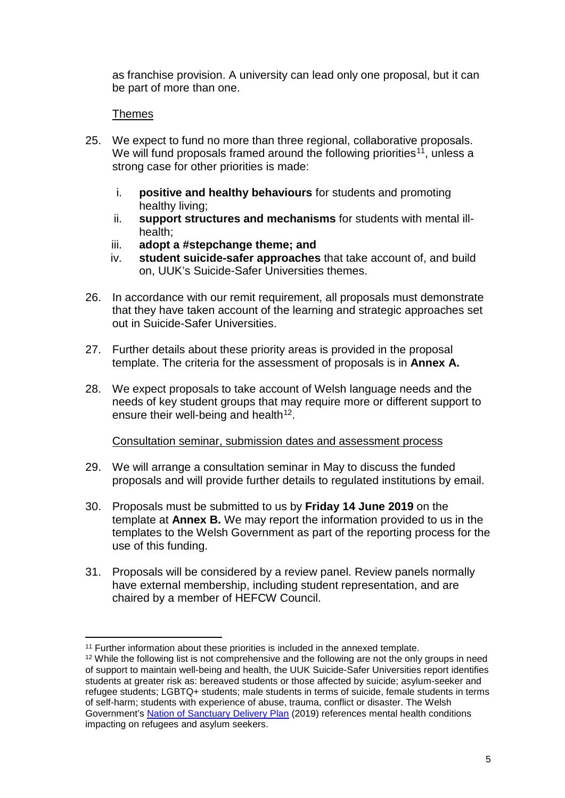as franchise provision. A university can lead only one proposal, but it can be part of more than one.

#### Themes

- 25. We expect to fund no more than three regional, collaborative proposals. We will fund proposals framed around the following priorities<sup>11</sup>, unless a strong case for other priorities is made:
	- i. **positive and healthy behaviours** for students and promoting healthy living;
	- ii. **support structures and mechanisms** for students with mental illhealth;
	- iii. **adopt a #stepchange theme; and**
	- iv. **student suicide-safer approaches** that take account of, and build on, UUK's Suicide-Safer Universities themes.
- 26. In accordance with our remit requirement, all proposals must demonstrate that they have taken account of the learning and strategic approaches set out in Suicide-Safer Universities.
- 27. Further details about these priority areas is provided in the proposal template. The criteria for the assessment of proposals is in **Annex A.**
- 28. We expect proposals to take account of Welsh language needs and the needs of key student groups that may require more or different support to ensure their well-being and health<sup>12</sup>.

#### Consultation seminar, submission dates and assessment process

- 29. We will arrange a consultation seminar in May to discuss the funded proposals and will provide further details to regulated institutions by email.
- 30. Proposals must be submitted to us by **Friday 14 June 2019** on the template at **Annex B.** We may report the information provided to us in the templates to the Welsh Government as part of the reporting process for the use of this funding.
- 31. Proposals will be considered by a review panel. Review panels normally have external membership, including student representation, and are chaired by a member of HEFCW Council.

<sup>&</sup>lt;sup>11</sup> Further information about these priorities is included in the annexed template.

<span id="page-5-1"></span><span id="page-5-0"></span><sup>&</sup>lt;sup>12</sup> While the following list is not comprehensive and the following are not the only groups in need of support to maintain well-being and health, the UUK Suicide-Safer Universities report identifies students at greater risk as: bereaved students or those affected by suicide; asylum-seeker and refugee students; LGBTQ+ students; male students in terms of suicide, female students in terms of self-harm; students with experience of abuse, trauma, conflict or disaster. The Welsh Government's [Nation of Sanctuary Delivery Plan](https://gweddill.gov.wales/docs/dsjlg/publications/equality/190128-refugee-and-asylum-seeker-plan-en.pdf) (2019) references mental health conditions impacting on refugees and asylum seekers.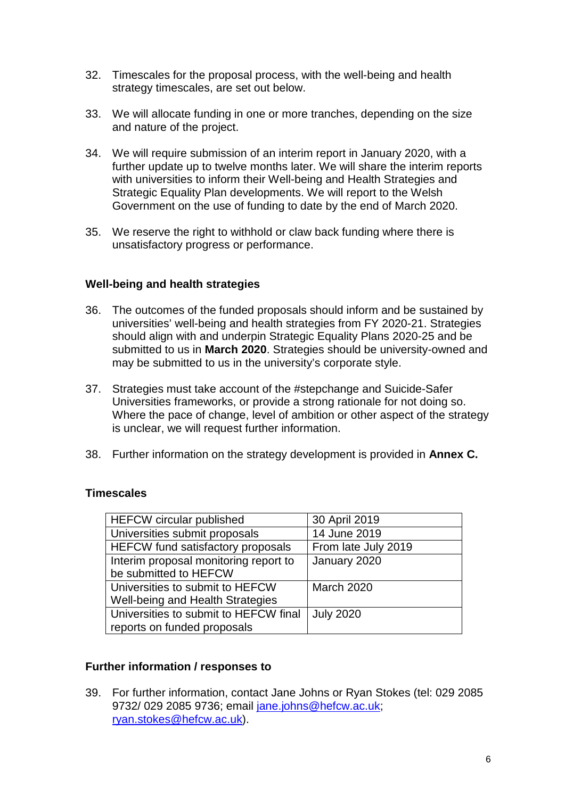- 32. Timescales for the proposal process, with the well-being and health strategy timescales, are set out below.
- 33. We will allocate funding in one or more tranches, depending on the size and nature of the project.
- 34. We will require submission of an interim report in January 2020, with a further update up to twelve months later. We will share the interim reports with universities to inform their Well-being and Health Strategies and Strategic Equality Plan developments. We will report to the Welsh Government on the use of funding to date by the end of March 2020.
- 35. We reserve the right to withhold or claw back funding where there is unsatisfactory progress or performance.

#### **Well-being and health strategies**

- 36. The outcomes of the funded proposals should inform and be sustained by universities' well-being and health strategies from FY 2020-21. Strategies should align with and underpin Strategic Equality Plans 2020-25 and be submitted to us in **March 2020**. Strategies should be university-owned and may be submitted to us in the university's corporate style.
- 37. Strategies must take account of the #stepchange and Suicide-Safer Universities frameworks, or provide a strong rationale for not doing so. Where the pace of change, level of ambition or other aspect of the strategy is unclear, we will request further information.
- 38. Further information on the strategy development is provided in **Annex C.**

# **Timescales**

| <b>HEFCW</b> circular published          | 30 April 2019       |
|------------------------------------------|---------------------|
| Universities submit proposals            | 14 June 2019        |
| <b>HEFCW</b> fund satisfactory proposals | From late July 2019 |
| Interim proposal monitoring report to    | January 2020        |
| be submitted to HEFCW                    |                     |
| Universities to submit to HEFCW          | <b>March 2020</b>   |
| Well-being and Health Strategies         |                     |
| Universities to submit to HEFCW final    | <b>July 2020</b>    |
| reports on funded proposals              |                     |

# **Further information / responses to**

39. For further information, contact Jane Johns or Ryan Stokes (tel: 029 2085 9732/ 029 2085 9736; email [jane.johns@hefcw.ac.uk;](mailto:jane.johns@hefcw.ac.uk) [ryan.stokes@hefcw.ac.uk\)](mailto:ryan.stokes@hefcw.ac.uk).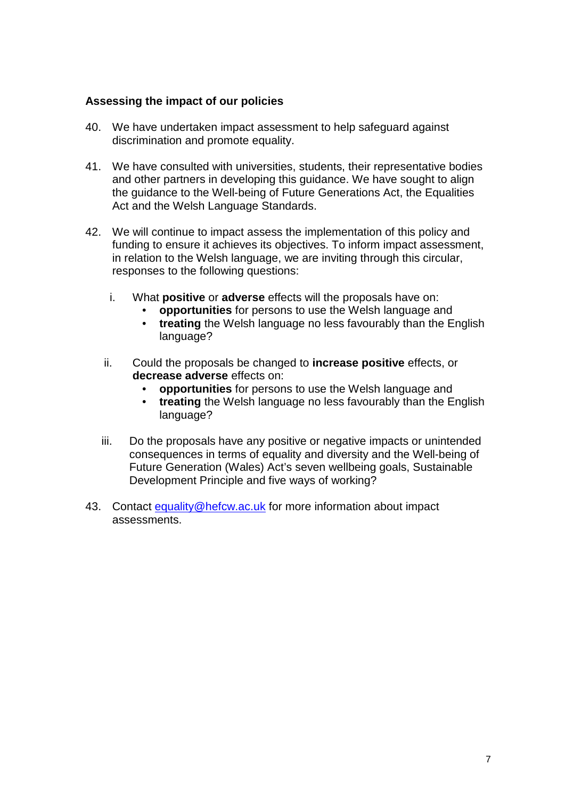#### **Assessing the impact of our policies**

- 40. We have undertaken impact assessment to help safeguard against discrimination and promote equality.
- 41. We have consulted with universities, students, their representative bodies and other partners in developing this guidance. We have sought to align the guidance to the Well-being of Future Generations Act, the Equalities Act and the Welsh Language Standards.
- 42. We will continue to impact assess the implementation of this policy and funding to ensure it achieves its objectives. To inform impact assessment, in relation to the Welsh language, we are inviting through this circular, responses to the following questions:
	- i. What **positive** or **adverse** effects will the proposals have on:
		- **opportunities** for persons to use the Welsh language and
		- **treating** the Welsh language no less favourably than the English language?
	- ii. Could the proposals be changed to **increase positive** effects, or **decrease adverse** effects on:
		- **opportunities** for persons to use the Welsh language and
		- **treating** the Welsh language no less favourably than the English language?
	- iii. Do the proposals have any positive or negative impacts or unintended consequences in terms of equality and diversity and the Well-being of Future Generation (Wales) Act's seven wellbeing goals, Sustainable Development Principle and five ways of working?
- 43. Contact [equality@hefcw.ac.uk](mailto:equality@hefcw.ac.uk) for more information about impact assessments.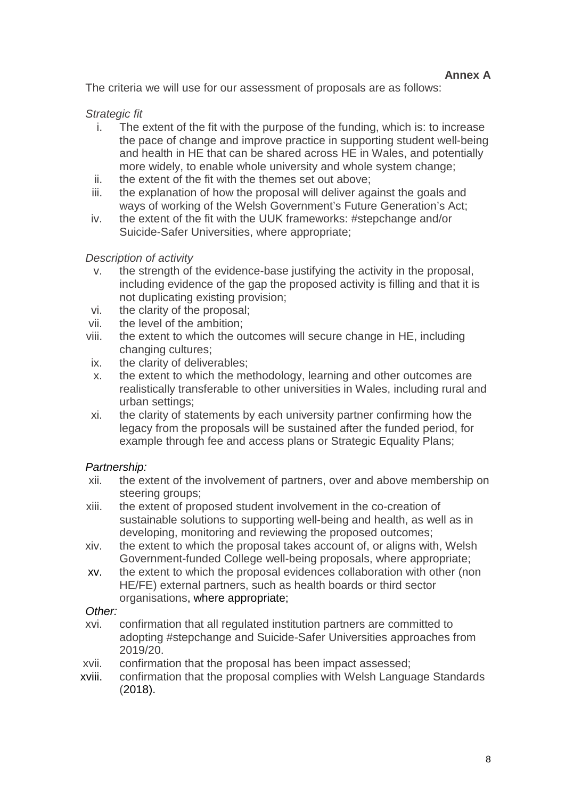The criteria we will use for our assessment of proposals are as follows:

## *Strategic fit*

- i. The extent of the fit with the purpose of the funding, which is: to increase the pace of change and improve practice in supporting student well-being and health in HE that can be shared across HE in Wales, and potentially more widely, to enable whole university and whole system change;
- ii. the extent of the fit with the themes set out above;
- iii. the explanation of how the proposal will deliver against the goals and ways of working of the Welsh Government's Future Generation's Act;
- iv. the extent of the fit with the UUK frameworks: #stepchange and/or Suicide-Safer Universities, where appropriate;

#### *Description of activity*

- v. the strength of the evidence-base justifying the activity in the proposal, including evidence of the gap the proposed activity is filling and that it is not duplicating existing provision;
- vi. the clarity of the proposal;
- vii. the level of the ambition;
- viii. the extent to which the outcomes will secure change in HE, including changing cultures:
- ix. the clarity of deliverables;
- x. the extent to which the methodology, learning and other outcomes are realistically transferable to other universities in Wales, including rural and urban settings;
- xi. the clarity of statements by each university partner confirming how the legacy from the proposals will be sustained after the funded period, for example through fee and access plans or Strategic Equality Plans:

#### *Partnership:*

- xii. the extent of the involvement of partners, over and above membership on steering groups;
- xiii. the extent of proposed student involvement in the co-creation of sustainable solutions to supporting well-being and health, as well as in developing, monitoring and reviewing the proposed outcomes;
- xiv. the extent to which the proposal takes account of, or aligns with, Welsh Government-funded College well-being proposals, where appropriate;
- xv. the extent to which the proposal evidences collaboration with other (non HE/FE) external partners, such as health boards or third sector organisations, where appropriate;

#### *Other:*

- xvi. confirmation that all regulated institution partners are committed to adopting #stepchange and Suicide-Safer Universities approaches from 2019/20.
- xvii. confirmation that the proposal has been impact assessed;
- xviii. confirmation that the proposal complies with Welsh Language Standards (2018).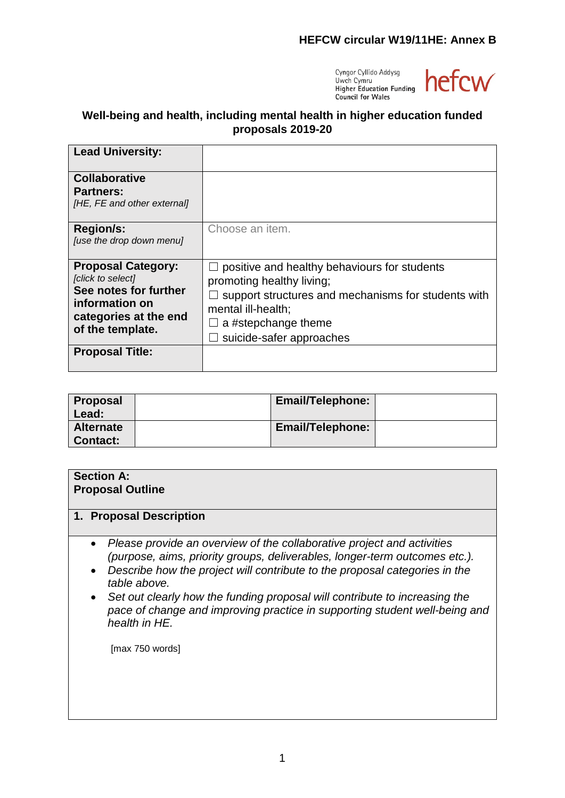

# **Well-being and health, including mental health in higher education funded proposals 2019-20**

| <b>Lead University:</b>                                                                                                                |                                                                                                                                                                                                                     |
|----------------------------------------------------------------------------------------------------------------------------------------|---------------------------------------------------------------------------------------------------------------------------------------------------------------------------------------------------------------------|
| <b>Collaborative</b><br><b>Partners:</b><br>[HE, FE and other external]                                                                |                                                                                                                                                                                                                     |
| <b>Region/s:</b><br>[use the drop down menu]                                                                                           | Choose an item.                                                                                                                                                                                                     |
| <b>Proposal Category:</b><br>[click to select]<br>See notes for further<br>information on<br>categories at the end<br>of the template. | positive and healthy behaviours for students<br>$\Box$<br>promoting healthy living;<br>support structures and mechanisms for students with<br>mental ill-health;<br>a #stepchange theme<br>suicide-safer approaches |
| <b>Proposal Title:</b>                                                                                                                 |                                                                                                                                                                                                                     |

| Proposal<br>Lead:                   | <b>Email/Telephone:</b> |  |
|-------------------------------------|-------------------------|--|
| <b>Alternate</b><br><b>Contact:</b> | <b>Email/Telephone:</b> |  |

| <b>Section A:</b><br><b>Proposal Outline</b> |                                                                                                                                                                                                                                                                                                                                                                                                                                                                                           |  |  |
|----------------------------------------------|-------------------------------------------------------------------------------------------------------------------------------------------------------------------------------------------------------------------------------------------------------------------------------------------------------------------------------------------------------------------------------------------------------------------------------------------------------------------------------------------|--|--|
| 1.                                           | <b>Proposal Description</b>                                                                                                                                                                                                                                                                                                                                                                                                                                                               |  |  |
|                                              | Please provide an overview of the collaborative project and activities<br>$\bullet$<br>(purpose, aims, priority groups, deliverables, longer-term outcomes etc.).<br>Describe how the project will contribute to the proposal categories in the<br>$\bullet$<br>table above.<br>Set out clearly how the funding proposal will contribute to increasing the<br>$\bullet$<br>pace of change and improving practice in supporting student well-being and<br>health in HE.<br>[max 750 words] |  |  |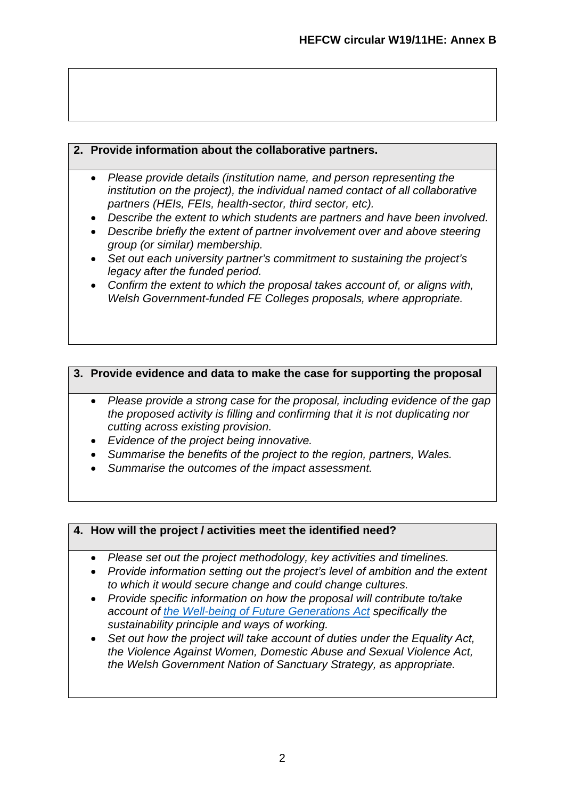# **2. Provide information about the collaborative partners.**

- *Please provide details (institution name, and person representing the institution on the project), the individual named contact of all collaborative partners (HEIs, FEIs, health-sector, third sector, etc).*
- *Describe the extent to which students are partners and have been involved.*
- *Describe briefly the extent of partner involvement over and above steering group (or similar) membership.*
- *Set out each university partner's commitment to sustaining the project's legacy after the funded period.*
- *Confirm the extent to which the proposal takes account of, or aligns with, Welsh Government-funded FE Colleges proposals, where appropriate.*

# **3. Provide evidence and data to make the case for supporting the proposal**

- *Please provide a strong case for the proposal, including evidence of the gap the proposed activity is filling and confirming that it is not duplicating nor cutting across existing provision.*
- *Evidence of the project being innovative.*
- *Summarise the benefits of the project to the region, partners, Wales.*
- *Summarise the outcomes of the impact assessment.*

# **4. How will the project / activities meet the identified need?**

- *Please set out the project methodology, key activities and timelines.*
- *Provide information setting out the project's level of ambition and the extent to which it would secure change and could change cultures.*
- *Provide specific information on how the proposal will contribute to/take account of [the Well-being of Future Generations Act](https://futuregenerations.wales/wp-content/uploads/2017/02/150623-guide-to-the-fg-act-en.pdf) specifically the sustainability principle and ways of working.*
- *Set out how the project will take account of duties under the Equality Act, the Violence Against Women, Domestic Abuse and Sexual Violence Act, the Welsh Government Nation of Sanctuary Strategy, as appropriate.*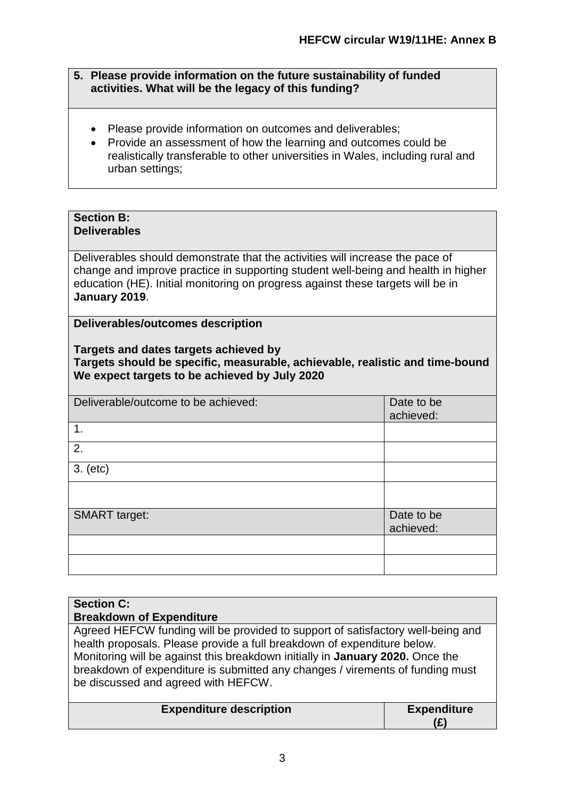- **5. Please provide information on the future sustainability of funded activities. What will be the legacy of this funding?**
	- Please provide information on outcomes and deliverables;
	- Provide an assessment of how the learning and outcomes could be realistically transferable to other universities in Wales, including rural and urban settings;

## **Section B: Deliverables**

Deliverables should demonstrate that the activities will increase the pace of change and improve practice in supporting student well-being and health in higher education (HE). Initial monitoring on progress against these targets will be in **January 2019**.

**Deliverables/outcomes description**

#### **Targets and dates targets achieved by Targets should be specific, measurable, achievable, realistic and time-bound We expect targets to be achieved by July 2020**

| Deliverable/outcome to be achieved: | Date to be |
|-------------------------------------|------------|
|                                     | achieved:  |
| 1.                                  |            |
| 2.                                  |            |
| 3. (etc)                            |            |
|                                     |            |
| <b>SMART</b> target:                | Date to be |
|                                     | achieved:  |
|                                     |            |
|                                     |            |

# **Section C: Breakdown of Expenditure** Agreed HEFCW funding will be provided to support of satisfactory well-being and health proposals. Please provide a full breakdown of expenditure below. Monitoring will be against this breakdown initially in **January 2020.** Once the breakdown of expenditure is submitted any changes / virements of funding must be discussed and agreed with HEFCW. **Expenditure description Expenditure (£)**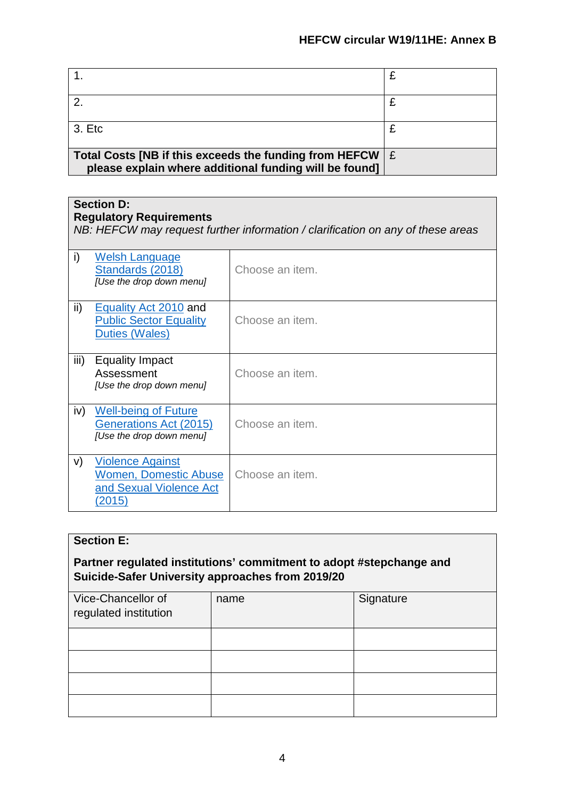| 3. Etc                                                 |     |
|--------------------------------------------------------|-----|
|                                                        |     |
|                                                        |     |
| Total Costs [NB if this exceeds the funding from HEFCW | l £ |
|                                                        |     |
| please explain where additional funding will be found] |     |
|                                                        |     |

# **Section D:**

| <b>Regulatory Requirements</b><br>NB: HEFCW may request further information / clarification on any of these areas |                                                                                              |                 |
|-------------------------------------------------------------------------------------------------------------------|----------------------------------------------------------------------------------------------|-----------------|
| i)                                                                                                                | <b>Welsh Language</b><br>Standards (2018)<br>[Use the drop down menu]                        | Choose an item. |
| ii)                                                                                                               | Equality Act 2010 and<br><b>Public Sector Equality</b><br><b>Duties (Wales)</b>              | Choose an item. |
| iii)                                                                                                              | Equality Impact<br>Assessment<br>[Use the drop down menu]                                    | Choose an item. |
| iv)                                                                                                               | <b>Well-being of Future</b><br>Generations Act (2015)<br>[Use the drop down menu]            | Choose an item. |
| V)                                                                                                                | <b>Violence Against</b><br><b>Women, Domestic Abuse</b><br>and Sexual Violence Act<br>(2015) | Choose an item. |

| <b>Section E:</b>                                                                                                       |      |           |
|-------------------------------------------------------------------------------------------------------------------------|------|-----------|
| Partner regulated institutions' commitment to adopt #stepchange and<br>Suicide-Safer University approaches from 2019/20 |      |           |
| Vice-Chancellor of<br>regulated institution                                                                             | name | Signature |
|                                                                                                                         |      |           |
|                                                                                                                         |      |           |
|                                                                                                                         |      |           |
|                                                                                                                         |      |           |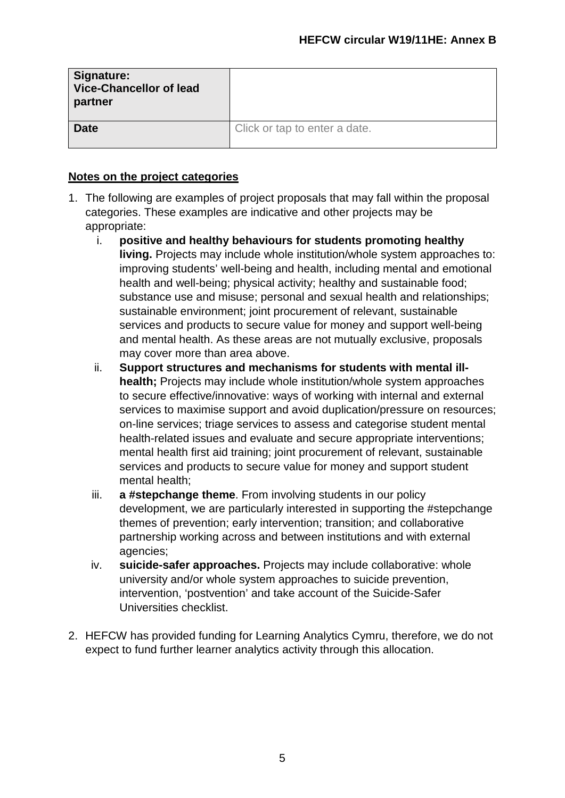| Signature:<br><b>Vice-Chancellor of lead</b><br>partner |                               |
|---------------------------------------------------------|-------------------------------|
| <b>Date</b>                                             | Click or tap to enter a date. |

## **Notes on the project categories**

- 1. The following are examples of project proposals that may fall within the proposal categories. These examples are indicative and other projects may be appropriate:
	- i. **positive and healthy behaviours for students promoting healthy living.** Projects may include whole institution/whole system approaches to: improving students' well-being and health, including mental and emotional health and well-being; physical activity; healthy and sustainable food; substance use and misuse; personal and sexual health and relationships; sustainable environment; joint procurement of relevant, sustainable services and products to secure value for money and support well-being and mental health. As these areas are not mutually exclusive, proposals may cover more than area above.
	- ii. **Support structures and mechanisms for students with mental illhealth;** Projects may include whole institution/whole system approaches to secure effective/innovative: ways of working with internal and external services to maximise support and avoid duplication/pressure on resources; on-line services; triage services to assess and categorise student mental health-related issues and evaluate and secure appropriate interventions; mental health first aid training; joint procurement of relevant, sustainable services and products to secure value for money and support student mental health;
	- iii. **a #stepchange theme**. From involving students in our policy development, we are particularly interested in supporting the #stepchange themes of prevention; early intervention; transition; and collaborative partnership working across and between institutions and with external agencies;
	- iv. **suicide-safer approaches.** Projects may include collaborative: whole university and/or whole system approaches to suicide prevention, intervention, 'postvention' and take account of the Suicide-Safer Universities checklist.
- 2. HEFCW has provided funding for Learning Analytics Cymru, therefore, we do not expect to fund further learner analytics activity through this allocation.